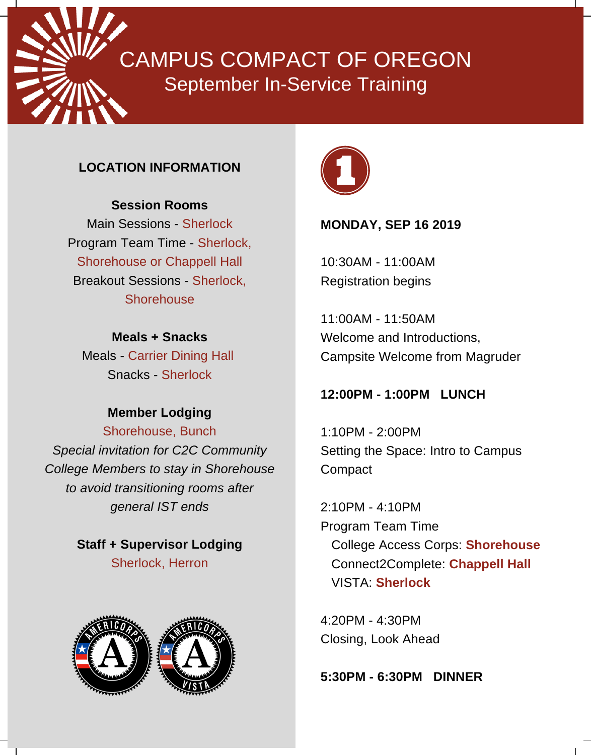CAMPUS COMPACT OF OREGON September In-Service Training

### **LOCATION INFORMATION**

#### **Session Rooms**

Main Sessions - Sherlock Program Team Time - Sherlock, Shorehouse or Chappell Hall Breakout Sessions - Sherlock, **Shorehouse** 

**Meals + Snacks** Meals - Carrier Dining Hall Snacks - Sherlock

# **Member Lodging**

Shorehouse, Bunch *Special invitation for C2C Community College Members to stay in Shorehouse to avoid transitioning rooms after general IST ends*

> **Staff + Supervisor Lodging** Sherlock, Herron





### **MONDAY, SEP 16 2019**

10:30AM - 11:00AM Registration begins

11:00AM - 11:50AM Welcome and Introductions, Campsite Welcome from Magruder

### **12:00PM - 1:00PM LUNCH**

1:10PM - 2:00PM Setting the Space: Intro to Campus Compact

2:10PM - 4:10PM Program Team Time College Access Corps: **Shorehouse** Connect2Complete: **Chappell Hall** VISTA: **Sherlock**

4:20PM - 4:30PM Closing, Look Ahead

**5:30PM - 6:30PM DINNER**